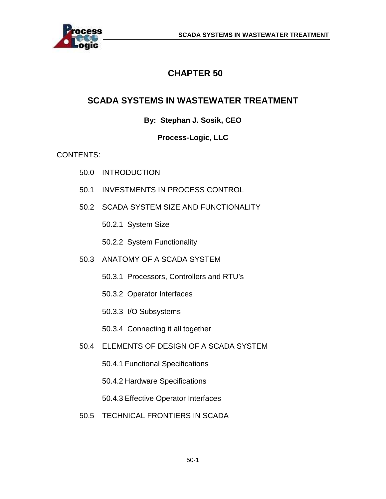

## **CHAPTER 50**

## **SCADA SYSTEMS IN WASTEWATER TREATMENT**

## **By: Stephan J. Sosik, CEO**

## **Process-Logic, LLC**

## CONTENTS:

- 50.0 INTRODUCTION
- 50.1 INVESTMENTS IN PROCESS CONTROL
- 50.2 SCADA SYSTEM SIZE AND FUNCTIONALITY
	- 50.2.1 System Size
	- 50.2.2 System Functionality
- 50.3 ANATOMY OF A SCADA SYSTEM
	- 50.3.1 Processors, Controllers and RTU's
	- 50.3.2 Operator Interfaces
	- 50.3.3 I/O Subsystems
	- 50.3.4 Connecting it all together
- 50.4 ELEMENTS OF DESIGN OF A SCADA SYSTEM
	- 50.4.1 Functional Specifications
	- 50.4.2 Hardware Specifications
	- 50.4.3 Effective Operator Interfaces
- 50.5 TECHNICAL FRONTIERS IN SCADA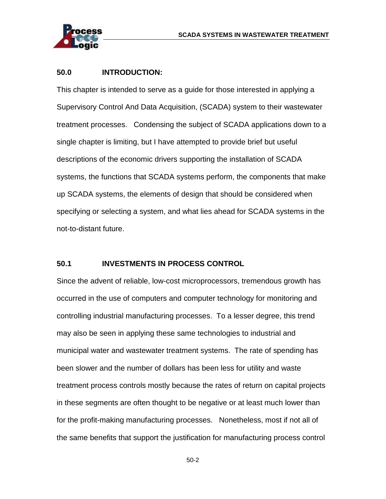

#### **50.0 INTRODUCTION:**

This chapter is intended to serve as a guide for those interested in applying a Supervisory Control And Data Acquisition, (SCADA) system to their wastewater treatment processes. Condensing the subject of SCADA applications down to a single chapter is limiting, but I have attempted to provide brief but useful descriptions of the economic drivers supporting the installation of SCADA systems, the functions that SCADA systems perform, the components that make up SCADA systems, the elements of design that should be considered when specifying or selecting a system, and what lies ahead for SCADA systems in the not-to-distant future.

### **50.1 INVESTMENTS IN PROCESS CONTROL**

Since the advent of reliable, low-cost microprocessors, tremendous growth has occurred in the use of computers and computer technology for monitoring and controlling industrial manufacturing processes. To a lesser degree, this trend may also be seen in applying these same technologies to industrial and municipal water and wastewater treatment systems. The rate of spending has been slower and the number of dollars has been less for utility and waste treatment process controls mostly because the rates of return on capital projects in these segments are often thought to be negative or at least much lower than for the profit-making manufacturing processes. Nonetheless, most if not all of the same benefits that support the justification for manufacturing process control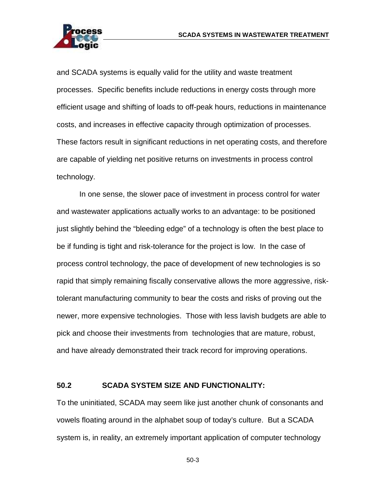

and SCADA systems is equally valid for the utility and waste treatment processes. Specific benefits include reductions in energy costs through more efficient usage and shifting of loads to off-peak hours, reductions in maintenance costs, and increases in effective capacity through optimization of processes. These factors result in significant reductions in net operating costs, and therefore are capable of yielding net positive returns on investments in process control technology.

In one sense, the slower pace of investment in process control for water and wastewater applications actually works to an advantage: to be positioned just slightly behind the "bleeding edge" of a technology is often the best place to be if funding is tight and risk-tolerance for the project is low. In the case of process control technology, the pace of development of new technologies is so rapid that simply remaining fiscally conservative allows the more aggressive, risktolerant manufacturing community to bear the costs and risks of proving out the newer, more expensive technologies. Those with less lavish budgets are able to pick and choose their investments from technologies that are mature, robust, and have already demonstrated their track record for improving operations.

#### **50.2 SCADA SYSTEM SIZE AND FUNCTIONALITY:**

To the uninitiated, SCADA may seem like just another chunk of consonants and vowels floating around in the alphabet soup of today's culture. But a SCADA system is, in reality, an extremely important application of computer technology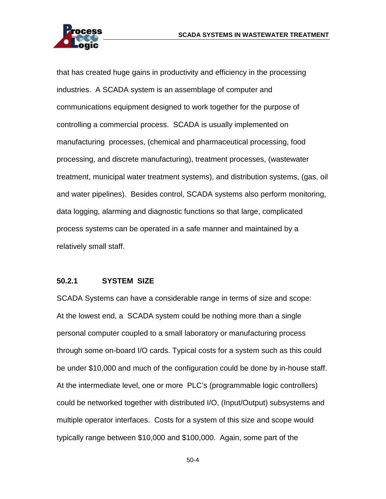

that has created huge gains in productivity and efficiency in the processing industries. A SCADA system is an assemblage of computer and communications equipment designed to work together for the purpose of controlling a commercial process. SCADA is usually implemented on manufacturing processes, (chemical and pharmaceutical processing, food processing, and discrete manufacturing), treatment processes, (wastewater treatment, municipal water treatment systems), and distribution systems, (gas, oil and water pipelines). Besides control, SCADA systems also perform monitoring, data logging, alarming and diagnostic functions so that large, complicated process systems can be operated in a safe manner and maintained by a relatively small staff.

#### **50.2.1 SYSTEM SIZE**

SCADA Systems can have a considerable range in terms of size and scope: At the lowest end, a SCADA system could be nothing more than a single personal computer coupled to a small laboratory or manufacturing process through some on-board I/O cards. Typical costs for a system such as this could be under \$10,000 and much of the configuration could be done by in-house staff. At the intermediate level, one or more PLC's (programmable logic controllers) could be networked together with distributed I/O, (Input/Output) subsystems and multiple operator interfaces. Costs for a system of this size and scope would typically range between \$10,000 and \$100,000. Again, some part of the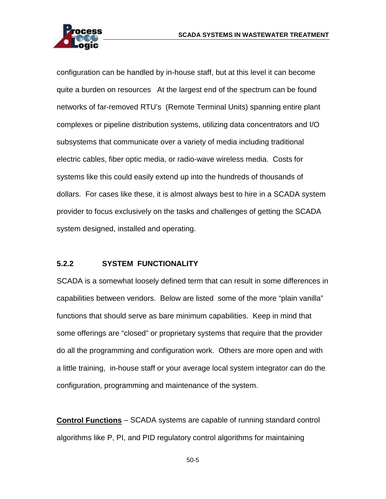

configuration can be handled by in-house staff, but at this level it can become quite a burden on resources At the largest end of the spectrum can be found networks of far-removed RTU's (Remote Terminal Units) spanning entire plant complexes or pipeline distribution systems, utilizing data concentrators and I/O subsystems that communicate over a variety of media including traditional electric cables, fiber optic media, or radio-wave wireless media. Costs for systems like this could easily extend up into the hundreds of thousands of dollars. For cases like these, it is almost always best to hire in a SCADA system provider to focus exclusively on the tasks and challenges of getting the SCADA system designed, installed and operating.

#### **5.2.2 SYSTEM FUNCTIONALITY**

SCADA is a somewhat loosely defined term that can result in some differences in capabilities between vendors. Below are listed some of the more "plain vanilla" functions that should serve as bare minimum capabilities. Keep in mind that some offerings are "closed" or proprietary systems that require that the provider do all the programming and configuration work. Others are more open and with a little training, in-house staff or your average local system integrator can do the configuration, programming and maintenance of the system.

**Control Functions** – SCADA systems are capable of running standard control algorithms like P, PI, and PID regulatory control algorithms for maintaining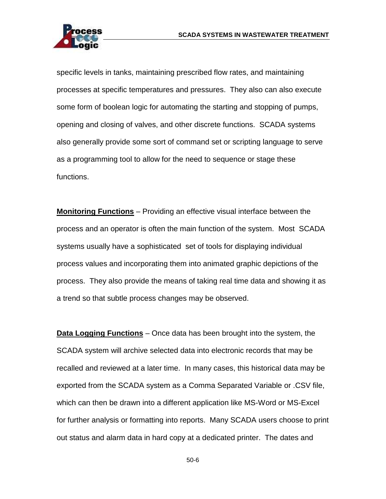

specific levels in tanks, maintaining prescribed flow rates, and maintaining processes at specific temperatures and pressures. They also can also execute some form of boolean logic for automating the starting and stopping of pumps, opening and closing of valves, and other discrete functions. SCADA systems also generally provide some sort of command set or scripting language to serve as a programming tool to allow for the need to sequence or stage these functions.

**Monitoring Functions** – Providing an effective visual interface between the process and an operator is often the main function of the system. Most SCADA systems usually have a sophisticated set of tools for displaying individual process values and incorporating them into animated graphic depictions of the process. They also provide the means of taking real time data and showing it as a trend so that subtle process changes may be observed.

**Data Logging Functions** – Once data has been brought into the system, the SCADA system will archive selected data into electronic records that may be recalled and reviewed at a later time. In many cases, this historical data may be exported from the SCADA system as a Comma Separated Variable or .CSV file, which can then be drawn into a different application like MS-Word or MS-Excel for further analysis or formatting into reports. Many SCADA users choose to print out status and alarm data in hard copy at a dedicated printer. The dates and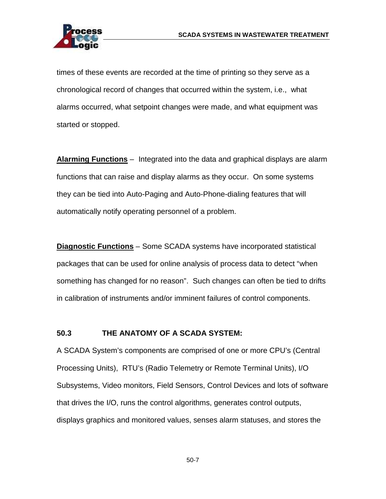

times of these events are recorded at the time of printing so they serve as a chronological record of changes that occurred within the system, i.e., what alarms occurred, what setpoint changes were made, and what equipment was started or stopped.

**Alarming Functions** – Integrated into the data and graphical displays are alarm functions that can raise and display alarms as they occur. On some systems they can be tied into Auto-Paging and Auto-Phone-dialing features that will automatically notify operating personnel of a problem.

**Diagnostic Functions** – Some SCADA systems have incorporated statistical packages that can be used for online analysis of process data to detect "when something has changed for no reason". Such changes can often be tied to drifts in calibration of instruments and/or imminent failures of control components.

#### **50.3 THE ANATOMY OF A SCADA SYSTEM:**

A SCADA System's components are comprised of one or more CPU's (Central Processing Units), RTU's (Radio Telemetry or Remote Terminal Units), I/O Subsystems, Video monitors, Field Sensors, Control Devices and lots of software that drives the I/O, runs the control algorithms, generates control outputs, displays graphics and monitored values, senses alarm statuses, and stores the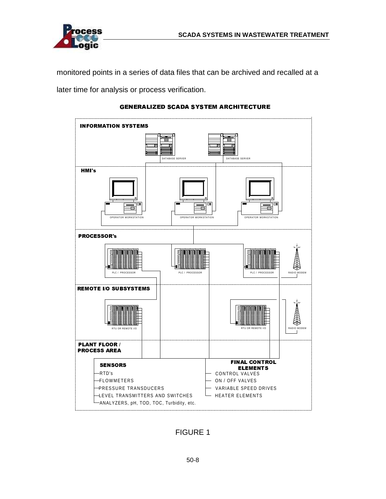

monitored points in a series of data files that can be archived and recalled at a later time for analysis or process verification.



#### <>=-?@=-ACB:DEGF=-HJILKLB:HCBMINOICP&=CQRB:AKOS@E9P&=KP&T@A&=

FIGURE 1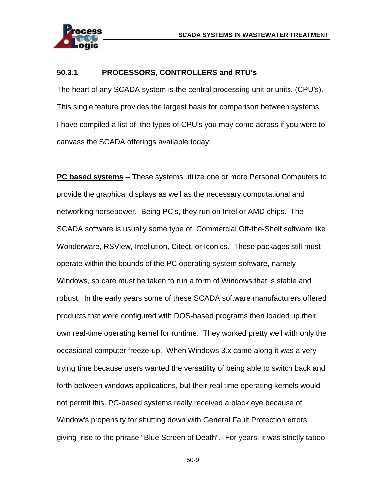

#### **50.3.1 PROCESSORS, CONTROLLERS and RTU's**

The heart of any SCADA system is the central processing unit or units, (CPU's). This single feature provides the largest basis for comparison between systems. I have compiled a list of the types of CPU's you may come across if you were to canvass the SCADA offerings available today:

**PC based systems** – These systems utilize one or more Personal Computers to provide the graphical displays as well as the necessary computational and networking horsepower. Being PC's, they run on Intel or AMD chips. The SCADA software is usually some type of Commercial Off-the-Shelf software like Wonderware, RSView, Intellution, Citect, or Iconics. These packages still must operate within the bounds of the PC operating system software, namely Windows, so care must be taken to run a form of Windows that is stable and robust. In the early years some of these SCADA software manufacturers offered products that were configured with DOS-based programs then loaded up their own real-time operating kernel for runtime. They worked pretty well with only the occasional computer freeze-up. When Windows 3.x came along it was a very trying time because users wanted the versatility of being able to switch back and forth between windows applications, but their real time operating kernels would not permit this. PC-based systems really received a black eye because of Window's propensity for shutting down with General Fault Protection errors giving rise to the phrase "Blue Screen of Death". For years, it was strictly taboo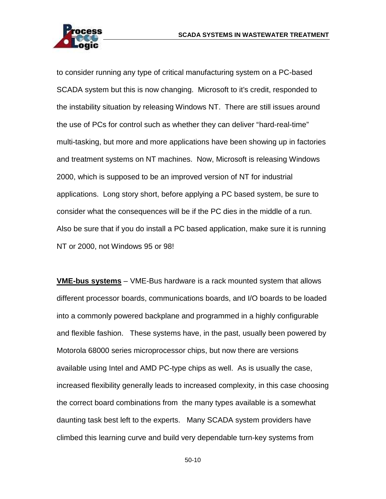

to consider running any type of critical manufacturing system on a PC-based SCADA system but this is now changing. Microsoft to it's credit, responded to the instability situation by releasing Windows NT. There are still issues around the use of PCs for control such as whether they can deliver "hard-real-time" multi-tasking, but more and more applications have been showing up in factories and treatment systems on NT machines. Now, Microsoft is releasing Windows 2000, which is supposed to be an improved version of NT for industrial applications. Long story short, before applying a PC based system, be sure to consider what the consequences will be if the PC dies in the middle of a run. Also be sure that if you do install a PC based application, make sure it is running NT or 2000, not Windows 95 or 98!

**VME-bus systems** – VME-Bus hardware is a rack mounted system that allows different processor boards, communications boards, and I/O boards to be loaded into a commonly powered backplane and programmed in a highly configurable and flexible fashion. These systems have, in the past, usually been powered by Motorola 68000 series microprocessor chips, but now there are versions available using Intel and AMD PC-type chips as well. As is usually the case, increased flexibility generally leads to increased complexity, in this case choosing the correct board combinations from the many types available is a somewhat daunting task best left to the experts. Many SCADA system providers have climbed this learning curve and build very dependable turn-key systems from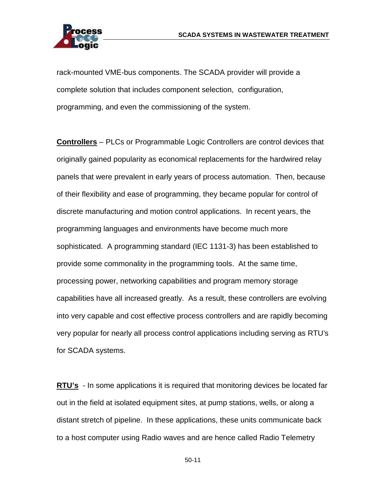

rack-mounted VME-bus components. The SCADA provider will provide a complete solution that includes component selection, configuration, programming, and even the commissioning of the system.

**Controllers** – PLCs or Programmable Logic Controllers are control devices that originally gained popularity as economical replacements for the hardwired relay panels that were prevalent in early years of process automation. Then, because of their flexibility and ease of programming, they became popular for control of discrete manufacturing and motion control applications. In recent years, the programming languages and environments have become much more sophisticated. A programming standard (IEC 1131-3) has been established to provide some commonality in the programming tools. At the same time, processing power, networking capabilities and program memory storage capabilities have all increased greatly. As a result, these controllers are evolving into very capable and cost effective process controllers and are rapidly becoming very popular for nearly all process control applications including serving as RTU's for SCADA systems.

**RTU's** - In some applications it is required that monitoring devices be located far out in the field at isolated equipment sites, at pump stations, wells, or along a distant stretch of pipeline. In these applications, these units communicate back to a host computer using Radio waves and are hence called Radio Telemetry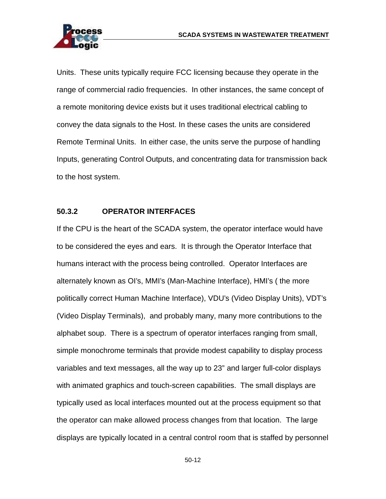

Units. These units typically require FCC licensing because they operate in the range of commercial radio frequencies. In other instances, the same concept of a remote monitoring device exists but it uses traditional electrical cabling to convey the data signals to the Host. In these cases the units are considered Remote Terminal Units. In either case, the units serve the purpose of handling Inputs, generating Control Outputs, and concentrating data for transmission back to the host system.

#### **50.3.2 OPERATOR INTERFACES**

If the CPU is the heart of the SCADA system, the operator interface would have to be considered the eyes and ears. It is through the Operator Interface that humans interact with the process being controlled. Operator Interfaces are alternately known as OI's, MMI's (Man-Machine Interface), HMI's ( the more politically correct Human Machine Interface), VDU's (Video Display Units), VDT's (Video Display Terminals), and probably many, many more contributions to the alphabet soup. There is a spectrum of operator interfaces ranging from small, simple monochrome terminals that provide modest capability to display process variables and text messages, all the way up to 23" and larger full-color displays with animated graphics and touch-screen capabilities. The small displays are typically used as local interfaces mounted out at the process equipment so that the operator can make allowed process changes from that location. The large displays are typically located in a central control room that is staffed by personnel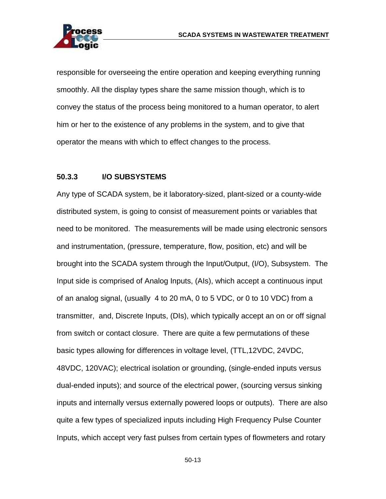

responsible for overseeing the entire operation and keeping everything running smoothly. All the display types share the same mission though, which is to convey the status of the process being monitored to a human operator, to alert him or her to the existence of any problems in the system, and to give that operator the means with which to effect changes to the process.

#### **50.3.3 I/O SUBSYSTEMS**

Any type of SCADA system, be it laboratory-sized, plant-sized or a county-wide distributed system, is going to consist of measurement points or variables that need to be monitored. The measurements will be made using electronic sensors and instrumentation, (pressure, temperature, flow, position, etc) and will be brought into the SCADA system through the Input/Output, (I/O), Subsystem. The Input side is comprised of Analog Inputs, (AIs), which accept a continuous input of an analog signal, (usually 4 to 20 mA, 0 to 5 VDC, or 0 to 10 VDC) from a transmitter, and, Discrete Inputs, (DIs), which typically accept an on or off signal from switch or contact closure. There are quite a few permutations of these basic types allowing for differences in voltage level, (TTL,12VDC, 24VDC, 48VDC, 120VAC); electrical isolation or grounding, (single-ended inputs versus dual-ended inputs); and source of the electrical power, (sourcing versus sinking inputs and internally versus externally powered loops or outputs). There are also quite a few types of specialized inputs including High Frequency Pulse Counter Inputs, which accept very fast pulses from certain types of flowmeters and rotary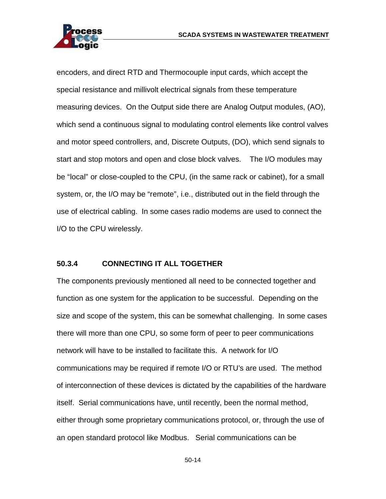

encoders, and direct RTD and Thermocouple input cards, which accept the special resistance and millivolt electrical signals from these temperature measuring devices. On the Output side there are Analog Output modules, (AO), which send a continuous signal to modulating control elements like control valves and motor speed controllers, and, Discrete Outputs, (DO), which send signals to start and stop motors and open and close block valves. The I/O modules may be "local" or close-coupled to the CPU, (in the same rack or cabinet), for a small system, or, the I/O may be "remote", i.e., distributed out in the field through the use of electrical cabling. In some cases radio modems are used to connect the I/O to the CPU wirelessly.

#### **50.3.4 CONNECTING IT ALL TOGETHER**

The components previously mentioned all need to be connected together and function as one system for the application to be successful. Depending on the size and scope of the system, this can be somewhat challenging. In some cases there will more than one CPU, so some form of peer to peer communications network will have to be installed to facilitate this. A network for I/O communications may be required if remote I/O or RTU's are used. The method of interconnection of these devices is dictated by the capabilities of the hardware itself. Serial communications have, until recently, been the normal method, either through some proprietary communications protocol, or, through the use of an open standard protocol like Modbus. Serial communications can be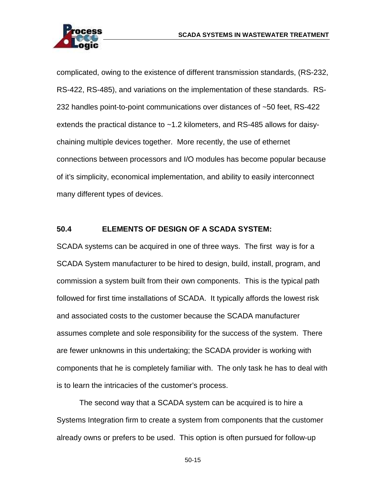

complicated, owing to the existence of different transmission standards, (RS-232, RS-422, RS-485), and variations on the implementation of these standards. RS-232 handles point-to-point communications over distances of ~50 feet, RS-422 extends the practical distance to ~1.2 kilometers, and RS-485 allows for daisychaining multiple devices together. More recently, the use of ethernet connections between processors and I/O modules has become popular because of it's simplicity, economical implementation, and ability to easily interconnect many different types of devices.

#### **50.4 ELEMENTS OF DESIGN OF A SCADA SYSTEM:**

SCADA systems can be acquired in one of three ways. The first way is for a SCADA System manufacturer to be hired to design, build, install, program, and commission a system built from their own components. This is the typical path followed for first time installations of SCADA. It typically affords the lowest risk and associated costs to the customer because the SCADA manufacturer assumes complete and sole responsibility for the success of the system. There are fewer unknowns in this undertaking; the SCADA provider is working with components that he is completely familiar with. The only task he has to deal with is to learn the intricacies of the customer's process.

The second way that a SCADA system can be acquired is to hire a Systems Integration firm to create a system from components that the customer already owns or prefers to be used. This option is often pursued for follow-up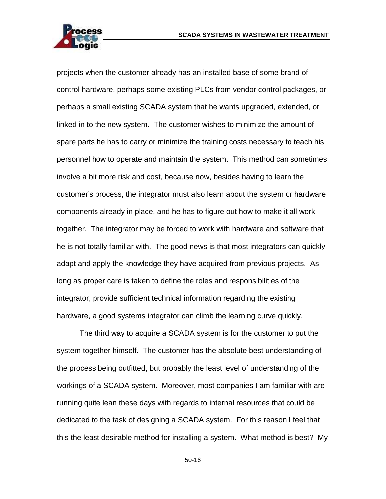

projects when the customer already has an installed base of some brand of control hardware, perhaps some existing PLCs from vendor control packages, or perhaps a small existing SCADA system that he wants upgraded, extended, or linked in to the new system. The customer wishes to minimize the amount of spare parts he has to carry or minimize the training costs necessary to teach his personnel how to operate and maintain the system. This method can sometimes involve a bit more risk and cost, because now, besides having to learn the customer's process, the integrator must also learn about the system or hardware components already in place, and he has to figure out how to make it all work together. The integrator may be forced to work with hardware and software that he is not totally familiar with. The good news is that most integrators can quickly adapt and apply the knowledge they have acquired from previous projects. As long as proper care is taken to define the roles and responsibilities of the integrator, provide sufficient technical information regarding the existing hardware, a good systems integrator can climb the learning curve quickly.

The third way to acquire a SCADA system is for the customer to put the system together himself. The customer has the absolute best understanding of the process being outfitted, but probably the least level of understanding of the workings of a SCADA system. Moreover, most companies I am familiar with are running quite lean these days with regards to internal resources that could be dedicated to the task of designing a SCADA system. For this reason I feel that this the least desirable method for installing a system. What method is best? My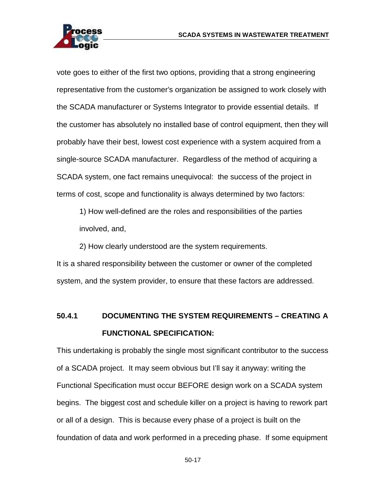

vote goes to either of the first two options, providing that a strong engineering representative from the customer's organization be assigned to work closely with the SCADA manufacturer or Systems Integrator to provide essential details. If the customer has absolutely no installed base of control equipment, then they will probably have their best, lowest cost experience with a system acquired from a single-source SCADA manufacturer. Regardless of the method of acquiring a SCADA system, one fact remains unequivocal: the success of the project in terms of cost, scope and functionality is always determined by two factors:

1) How well-defined are the roles and responsibilities of the parties involved, and,

2) How clearly understood are the system requirements.

It is a shared responsibility between the customer or owner of the completed system, and the system provider, to ensure that these factors are addressed.

## **50.4.1 DOCUMENTING THE SYSTEM REQUIREMENTS – CREATING A FUNCTIONAL SPECIFICATION:**

This undertaking is probably the single most significant contributor to the success of a SCADA project. It may seem obvious but I'll say it anyway: writing the Functional Specification must occur BEFORE design work on a SCADA system begins. The biggest cost and schedule killer on a project is having to rework part or all of a design. This is because every phase of a project is built on the foundation of data and work performed in a preceding phase. If some equipment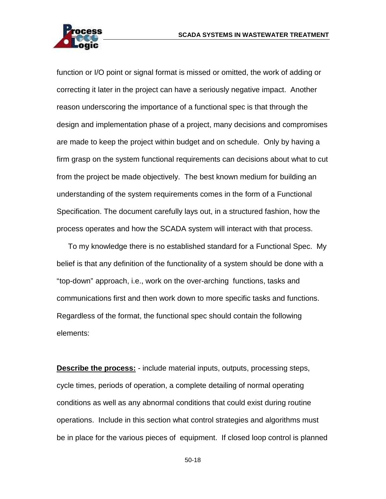

function or I/O point or signal format is missed or omitted, the work of adding or correcting it later in the project can have a seriously negative impact. Another reason underscoring the importance of a functional spec is that through the design and implementation phase of a project, many decisions and compromises are made to keep the project within budget and on schedule. Only by having a firm grasp on the system functional requirements can decisions about what to cut from the project be made objectively. The best known medium for building an understanding of the system requirements comes in the form of a Functional Specification. The document carefully lays out, in a structured fashion, how the process operates and how the SCADA system will interact with that process.

To my knowledge there is no established standard for a Functional Spec. My belief is that any definition of the functionality of a system should be done with a "top-down" approach, i.e., work on the over-arching functions, tasks and communications first and then work down to more specific tasks and functions. Regardless of the format, the functional spec should contain the following elements:

**Describe the process:** - include material inputs, outputs, processing steps, cycle times, periods of operation, a complete detailing of normal operating conditions as well as any abnormal conditions that could exist during routine operations. Include in this section what control strategies and algorithms must be in place for the various pieces of equipment. If closed loop control is planned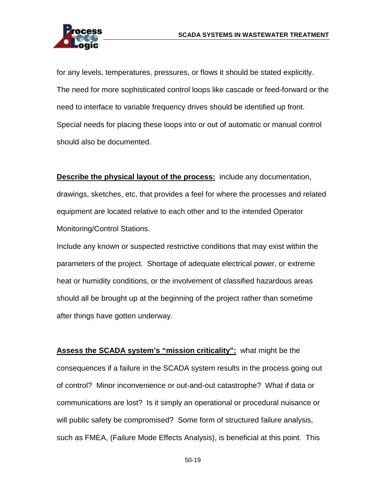

for any levels, temperatures, pressures, or flows it should be stated explicitly. The need for more sophisticated control loops like cascade or feed-forward or the need to interface to variable frequency drives should be identified up front. Special needs for placing these loops into or out of automatic or manual control should also be documented.

**Describe the physical layout of the process:** include any documentation, drawings, sketches, etc, that provides a feel for where the processes and related equipment are located relative to each other and to the intended Operator Monitoring/Control Stations.

Include any known or suspected restrictive conditions that may exist within the parameters of the project. Shortage of adequate electrical power, or extreme heat or humidity conditions, or the involvement of classified hazardous areas should all be brought up at the beginning of the project rather than sometime after things have gotten underway.

**Assess the SCADA system's "mission criticality":** what might be the consequences if a failure in the SCADA system results in the process going out of control? Minor inconvenience or out-and-out catastrophe? What if data or communications are lost? Is it simply an operational or procedural nuisance or will public safety be compromised? Some form of structured failure analysis, such as FMEA, (Failure Mode Effects Analysis), is beneficial at this point. This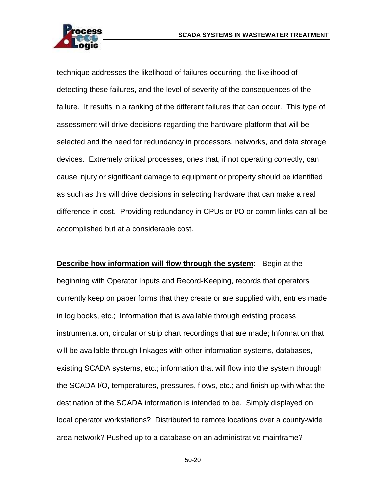

technique addresses the likelihood of failures occurring, the likelihood of detecting these failures, and the level of severity of the consequences of the failure. It results in a ranking of the different failures that can occur. This type of assessment will drive decisions regarding the hardware platform that will be selected and the need for redundancy in processors, networks, and data storage devices. Extremely critical processes, ones that, if not operating correctly, can cause injury or significant damage to equipment or property should be identified as such as this will drive decisions in selecting hardware that can make a real difference in cost. Providing redundancy in CPUs or I/O or comm links can all be accomplished but at a considerable cost.

**Describe how information will flow through the system**: - Begin at the beginning with Operator Inputs and Record-Keeping, records that operators currently keep on paper forms that they create or are supplied with, entries made in log books, etc.; Information that is available through existing process instrumentation, circular or strip chart recordings that are made; Information that will be available through linkages with other information systems, databases, existing SCADA systems, etc.; information that will flow into the system through the SCADA I/O, temperatures, pressures, flows, etc.; and finish up with what the destination of the SCADA information is intended to be. Simply displayed on local operator workstations? Distributed to remote locations over a county-wide area network? Pushed up to a database on an administrative mainframe?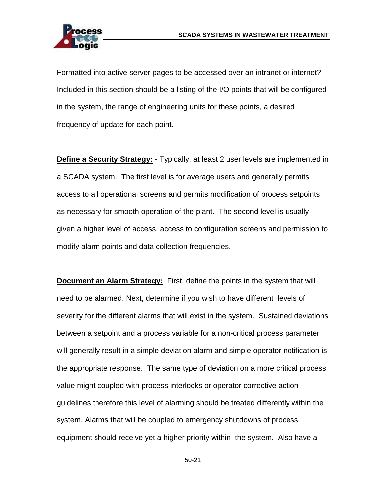

Formatted into active server pages to be accessed over an intranet or internet? Included in this section should be a listing of the I/O points that will be configured in the system, the range of engineering units for these points, a desired frequency of update for each point.

**Define a Security Strategy:** - Typically, at least 2 user levels are implemented in a SCADA system. The first level is for average users and generally permits access to all operational screens and permits modification of process setpoints as necessary for smooth operation of the plant. The second level is usually given a higher level of access, access to configuration screens and permission to modify alarm points and data collection frequencies.

**Document an Alarm Strategy:** First, define the points in the system that will need to be alarmed. Next, determine if you wish to have different levels of severity for the different alarms that will exist in the system. Sustained deviations between a setpoint and a process variable for a non-critical process parameter will generally result in a simple deviation alarm and simple operator notification is the appropriate response. The same type of deviation on a more critical process value might coupled with process interlocks or operator corrective action guidelines therefore this level of alarming should be treated differently within the system. Alarms that will be coupled to emergency shutdowns of process equipment should receive yet a higher priority within the system. Also have a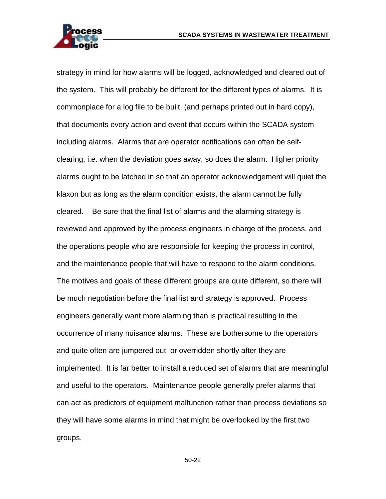

strategy in mind for how alarms will be logged, acknowledged and cleared out of the system. This will probably be different for the different types of alarms. It is commonplace for a log file to be built, (and perhaps printed out in hard copy), that documents every action and event that occurs within the SCADA system including alarms. Alarms that are operator notifications can often be selfclearing, i.e. when the deviation goes away, so does the alarm. Higher priority alarms ought to be latched in so that an operator acknowledgement will quiet the klaxon but as long as the alarm condition exists, the alarm cannot be fully cleared. Be sure that the final list of alarms and the alarming strategy is reviewed and approved by the process engineers in charge of the process, and the operations people who are responsible for keeping the process in control, and the maintenance people that will have to respond to the alarm conditions. The motives and goals of these different groups are quite different, so there will be much negotiation before the final list and strategy is approved. Process engineers generally want more alarming than is practical resulting in the occurrence of many nuisance alarms. These are bothersome to the operators and quite often are jumpered out or overridden shortly after they are implemented. It is far better to install a reduced set of alarms that are meaningful and useful to the operators. Maintenance people generally prefer alarms that can act as predictors of equipment malfunction rather than process deviations so they will have some alarms in mind that might be overlooked by the first two groups.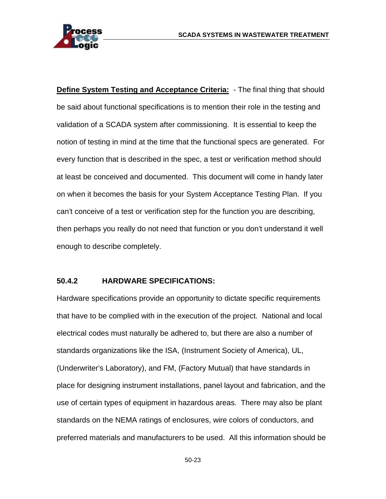

**Define System Testing and Acceptance Criteria:** - The final thing that should be said about functional specifications is to mention their role in the testing and validation of a SCADA system after commissioning. It is essential to keep the notion of testing in mind at the time that the functional specs are generated. For every function that is described in the spec, a test or verification method should at least be conceived and documented. This document will come in handy later on when it becomes the basis for your System Acceptance Testing Plan. If you can't conceive of a test or verification step for the function you are describing, then perhaps you really do not need that function or you don't understand it well enough to describe completely.

#### **50.4.2 HARDWARE SPECIFICATIONS:**

Hardware specifications provide an opportunity to dictate specific requirements that have to be complied with in the execution of the project. National and local electrical codes must naturally be adhered to, but there are also a number of standards organizations like the ISA, (Instrument Society of America), UL, (Underwriter's Laboratory), and FM, (Factory Mutual) that have standards in place for designing instrument installations, panel layout and fabrication, and the use of certain types of equipment in hazardous areas. There may also be plant standards on the NEMA ratings of enclosures, wire colors of conductors, and preferred materials and manufacturers to be used. All this information should be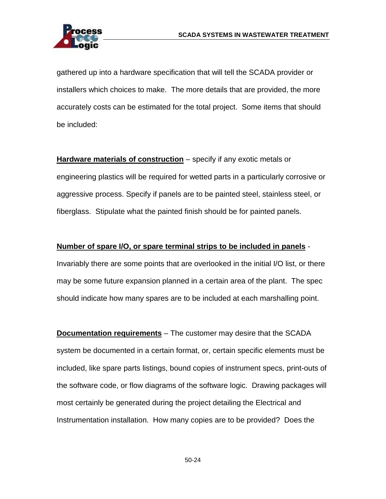

gathered up into a hardware specification that will tell the SCADA provider or installers which choices to make. The more details that are provided, the more accurately costs can be estimated for the total project. Some items that should be included:

**Hardware materials of construction** – specify if any exotic metals or engineering plastics will be required for wetted parts in a particularly corrosive or aggressive process. Specify if panels are to be painted steel, stainless steel, or fiberglass. Stipulate what the painted finish should be for painted panels.

#### **Number of spare I/O, or spare terminal strips to be included in panels** -

Invariably there are some points that are overlooked in the initial I/O list, or there may be some future expansion planned in a certain area of the plant. The spec should indicate how many spares are to be included at each marshalling point.

**Documentation requirements** – The customer may desire that the SCADA system be documented in a certain format, or, certain specific elements must be included, like spare parts listings, bound copies of instrument specs, print-outs of the software code, or flow diagrams of the software logic. Drawing packages will most certainly be generated during the project detailing the Electrical and Instrumentation installation. How many copies are to be provided? Does the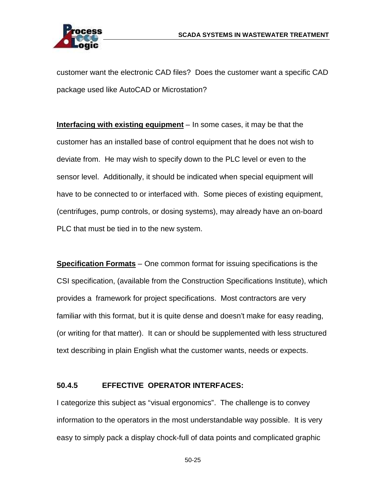

customer want the electronic CAD files? Does the customer want a specific CAD package used like AutoCAD or Microstation?

**Interfacing with existing equipment** – In some cases, it may be that the customer has an installed base of control equipment that he does not wish to deviate from. He may wish to specify down to the PLC level or even to the sensor level. Additionally, it should be indicated when special equipment will have to be connected to or interfaced with. Some pieces of existing equipment, (centrifuges, pump controls, or dosing systems), may already have an on-board PLC that must be tied in to the new system.

**Specification Formats** – One common format for issuing specifications is the CSI specification, (available from the Construction Specifications Institute), which provides a framework for project specifications. Most contractors are very familiar with this format, but it is quite dense and doesn't make for easy reading, (or writing for that matter). It can or should be supplemented with less structured text describing in plain English what the customer wants, needs or expects.

#### **50.4.5 EFFECTIVE OPERATOR INTERFACES:**

I categorize this subject as "visual ergonomics". The challenge is to convey information to the operators in the most understandable way possible. It is very easy to simply pack a display chock-full of data points and complicated graphic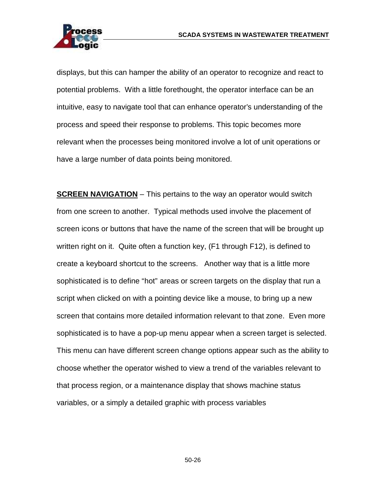

displays, but this can hamper the ability of an operator to recognize and react to potential problems. With a little forethought, the operator interface can be an intuitive, easy to navigate tool that can enhance operator's understanding of the process and speed their response to problems. This topic becomes more relevant when the processes being monitored involve a lot of unit operations or have a large number of data points being monitored.

**SCREEN NAVIGATION** – This pertains to the way an operator would switch from one screen to another. Typical methods used involve the placement of screen icons or buttons that have the name of the screen that will be brought up written right on it. Quite often a function key, (F1 through F12), is defined to create a keyboard shortcut to the screens. Another way that is a little more sophisticated is to define "hot" areas or screen targets on the display that run a script when clicked on with a pointing device like a mouse, to bring up a new screen that contains more detailed information relevant to that zone. Even more sophisticated is to have a pop-up menu appear when a screen target is selected. This menu can have different screen change options appear such as the ability to choose whether the operator wished to view a trend of the variables relevant to that process region, or a maintenance display that shows machine status variables, or a simply a detailed graphic with process variables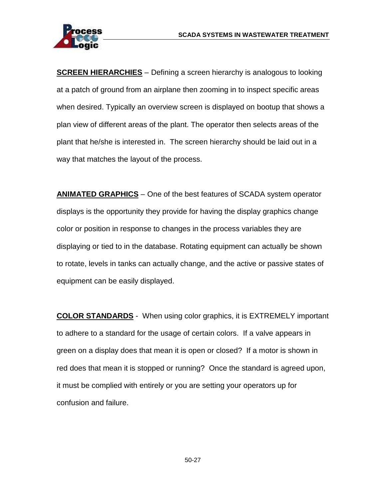

**SCREEN HIERARCHIES** – Defining a screen hierarchy is analogous to looking at a patch of ground from an airplane then zooming in to inspect specific areas when desired. Typically an overview screen is displayed on bootup that shows a plan view of different areas of the plant. The operator then selects areas of the plant that he/she is interested in. The screen hierarchy should be laid out in a way that matches the layout of the process.

**ANIMATED GRAPHICS** – One of the best features of SCADA system operator displays is the opportunity they provide for having the display graphics change color or position in response to changes in the process variables they are displaying or tied to in the database. Rotating equipment can actually be shown to rotate, levels in tanks can actually change, and the active or passive states of equipment can be easily displayed.

**COLOR STANDARDS** - When using color graphics, it is EXTREMELY important to adhere to a standard for the usage of certain colors. If a valve appears in green on a display does that mean it is open or closed? If a motor is shown in red does that mean it is stopped or running? Once the standard is agreed upon, it must be complied with entirely or you are setting your operators up for confusion and failure.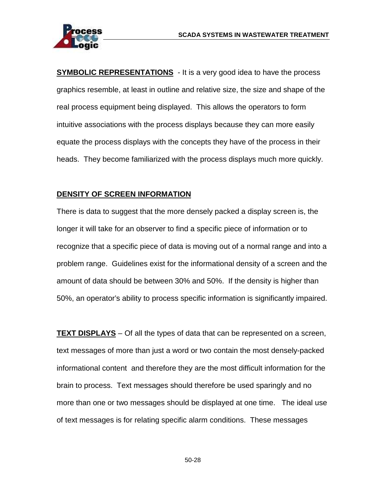



**SYMBOLIC REPRESENTATIONS** - It is a very good idea to have the process graphics resemble, at least in outline and relative size, the size and shape of the real process equipment being displayed. This allows the operators to form intuitive associations with the process displays because they can more easily equate the process displays with the concepts they have of the process in their heads. They become familiarized with the process displays much more quickly.

### **DENSITY OF SCREEN INFORMATION**

There is data to suggest that the more densely packed a display screen is, the longer it will take for an observer to find a specific piece of information or to recognize that a specific piece of data is moving out of a normal range and into a problem range. Guidelines exist for the informational density of a screen and the amount of data should be between 30% and 50%. If the density is higher than 50%, an operator's ability to process specific information is significantly impaired.

**TEXT DISPLAYS** – Of all the types of data that can be represented on a screen, text messages of more than just a word or two contain the most densely-packed informational content and therefore they are the most difficult information for the brain to process. Text messages should therefore be used sparingly and no more than one or two messages should be displayed at one time. The ideal use of text messages is for relating specific alarm conditions. These messages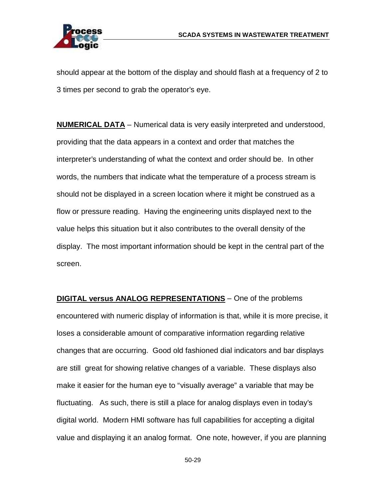

should appear at the bottom of the display and should flash at a frequency of 2 to 3 times per second to grab the operator's eye.

**NUMERICAL DATA** – Numerical data is very easily interpreted and understood, providing that the data appears in a context and order that matches the interpreter's understanding of what the context and order should be. In other words, the numbers that indicate what the temperature of a process stream is should not be displayed in a screen location where it might be construed as a flow or pressure reading. Having the engineering units displayed next to the value helps this situation but it also contributes to the overall density of the display. The most important information should be kept in the central part of the screen.

**DIGITAL versus ANALOG REPRESENTATIONS** – One of the problems encountered with numeric display of information is that, while it is more precise, it loses a considerable amount of comparative information regarding relative changes that are occurring. Good old fashioned dial indicators and bar displays are still great for showing relative changes of a variable. These displays also make it easier for the human eye to "visually average" a variable that may be fluctuating. As such, there is still a place for analog displays even in today's digital world. Modern HMI software has full capabilities for accepting a digital value and displaying it an analog format. One note, however, if you are planning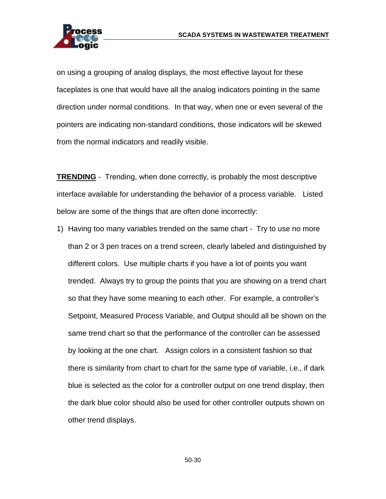

on using a grouping of analog displays, the most effective layout for these faceplates is one that would have all the analog indicators pointing in the same direction under normal conditions. In that way, when one or even several of the pointers are indicating non-standard conditions, those indicators will be skewed from the normal indicators and readily visible.

**TRENDING** - Trending, when done correctly, is probably the most descriptive interface available for understanding the behavior of a process variable. Listed below are some of the things that are often done incorrectly:

1) Having too many variables trended on the same chart - Try to use no more than 2 or 3 pen traces on a trend screen, clearly labeled and distinguished by different colors. Use multiple charts if you have a lot of points you want trended. Always try to group the points that you are showing on a trend chart so that they have some meaning to each other. For example, a controller's Setpoint, Measured Process Variable, and Output should all be shown on the same trend chart so that the performance of the controller can be assessed by looking at the one chart. Assign colors in a consistent fashion so that there is similarity from chart to chart for the same type of variable, i.e., if dark blue is selected as the color for a controller output on one trend display, then the dark blue color should also be used for other controller outputs shown on other trend displays.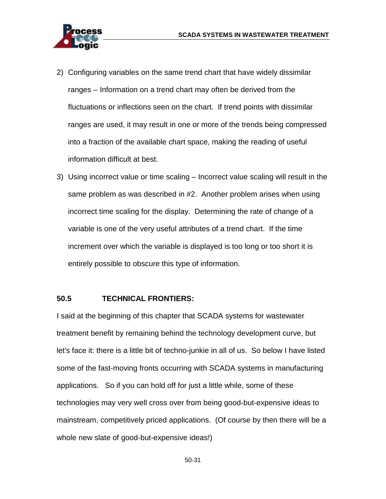

- 2) Configuring variables on the same trend chart that have widely dissimilar ranges – Information on a trend chart may often be derived from the fluctuations or inflections seen on the chart. If trend points with dissimilar ranges are used, it may result in one or more of the trends being compressed into a fraction of the available chart space, making the reading of useful information difficult at best.
- 3) Using incorrect value or time scaling Incorrect value scaling will result in the same problem as was described in #2. Another problem arises when using incorrect time scaling for the display. Determining the rate of change of a variable is one of the very useful attributes of a trend chart. If the time increment over which the variable is displayed is too long or too short it is entirely possible to obscure this type of information.

#### **50.5 TECHNICAL FRONTIERS:**

I said at the beginning of this chapter that SCADA systems for wastewater treatment benefit by remaining behind the technology development curve, but let's face it: there is a little bit of techno-junkie in all of us. So below I have listed some of the fast-moving fronts occurring with SCADA systems in manufacturing applications. So if you can hold off for just a little while, some of these technologies may very well cross over from being good-but-expensive ideas to mainstream, competitively priced applications. (Of course by then there will be a whole new slate of good-but-expensive ideas!)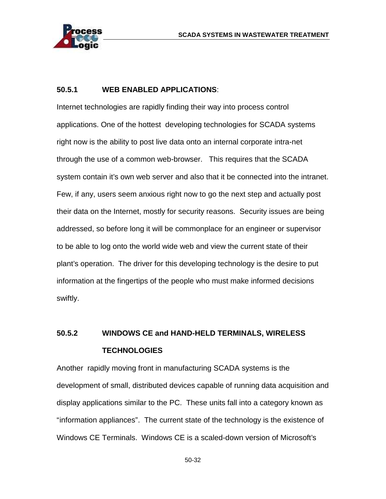

#### **50.5.1 WEB ENABLED APPLICATIONS**:

Internet technologies are rapidly finding their way into process control applications. One of the hottest developing technologies for SCADA systems right now is the ability to post live data onto an internal corporate intra-net through the use of a common web-browser. This requires that the SCADA system contain it's own web server and also that it be connected into the intranet. Few, if any, users seem anxious right now to go the next step and actually post their data on the Internet, mostly for security reasons. Security issues are being addressed, so before long it will be commonplace for an engineer or supervisor to be able to log onto the world wide web and view the current state of their plant's operation. The driver for this developing technology is the desire to put information at the fingertips of the people who must make informed decisions swiftly.

# **50.5.2 WINDOWS CE and HAND-HELD TERMINALS, WIRELESS TECHNOLOGIES**

Another rapidly moving front in manufacturing SCADA systems is the development of small, distributed devices capable of running data acquisition and display applications similar to the PC. These units fall into a category known as "information appliances". The current state of the technology is the existence of Windows CE Terminals. Windows CE is a scaled-down version of Microsoft's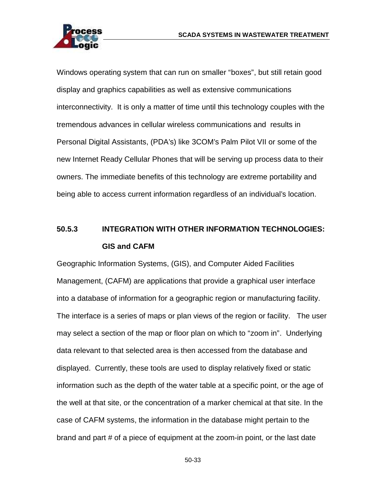

Windows operating system that can run on smaller "boxes", but still retain good display and graphics capabilities as well as extensive communications interconnectivity. It is only a matter of time until this technology couples with the tremendous advances in cellular wireless communications and results in Personal Digital Assistants, (PDA's) like 3COM's Palm Pilot VII or some of the new Internet Ready Cellular Phones that will be serving up process data to their owners. The immediate benefits of this technology are extreme portability and being able to access current information regardless of an individual's location.

# **50.5.3 INTEGRATION WITH OTHER INFORMATION TECHNOLOGIES: GIS and CAFM**

Geographic Information Systems, (GIS), and Computer Aided Facilities Management, (CAFM) are applications that provide a graphical user interface into a database of information for a geographic region or manufacturing facility. The interface is a series of maps or plan views of the region or facility. The user may select a section of the map or floor plan on which to "zoom in". Underlying data relevant to that selected area is then accessed from the database and displayed. Currently, these tools are used to display relatively fixed or static information such as the depth of the water table at a specific point, or the age of the well at that site, or the concentration of a marker chemical at that site. In the case of CAFM systems, the information in the database might pertain to the brand and part # of a piece of equipment at the zoom-in point, or the last date